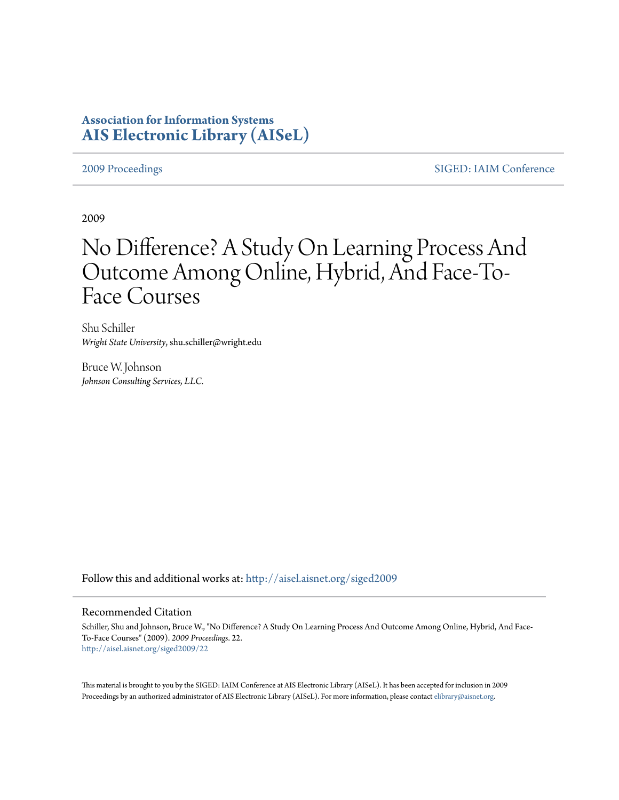## **Association for Information Systems [AIS Electronic Library \(AISeL\)](http://aisel.aisnet.org?utm_source=aisel.aisnet.org%2Fsiged2009%2F22&utm_medium=PDF&utm_campaign=PDFCoverPages)**

[2009 Proceedings](http://aisel.aisnet.org/siged2009?utm_source=aisel.aisnet.org%2Fsiged2009%2F22&utm_medium=PDF&utm_campaign=PDFCoverPages) [SIGED: IAIM Conference](http://aisel.aisnet.org/siged?utm_source=aisel.aisnet.org%2Fsiged2009%2F22&utm_medium=PDF&utm_campaign=PDFCoverPages)

2009

# No Difference? A Study On Learning Process And Outcome Among Online, Hybrid, And Face-To-Face Courses

Shu Schiller *Wright State University*, shu.schiller@wright.edu

Bruce W. Johnson *Johnson Consulting Services, LLC.*

Follow this and additional works at: [http://aisel.aisnet.org/siged2009](http://aisel.aisnet.org/siged2009?utm_source=aisel.aisnet.org%2Fsiged2009%2F22&utm_medium=PDF&utm_campaign=PDFCoverPages)

#### Recommended Citation

Schiller, Shu and Johnson, Bruce W., "No Difference? A Study On Learning Process And Outcome Among Online, Hybrid, And Face-To-Face Courses" (2009). *2009 Proceedings*. 22. [http://aisel.aisnet.org/siged2009/22](http://aisel.aisnet.org/siged2009/22?utm_source=aisel.aisnet.org%2Fsiged2009%2F22&utm_medium=PDF&utm_campaign=PDFCoverPages)

This material is brought to you by the SIGED: IAIM Conference at AIS Electronic Library (AISeL). It has been accepted for inclusion in 2009 Proceedings by an authorized administrator of AIS Electronic Library (AISeL). For more information, please contact [elibrary@aisnet.org](mailto:elibrary@aisnet.org%3E).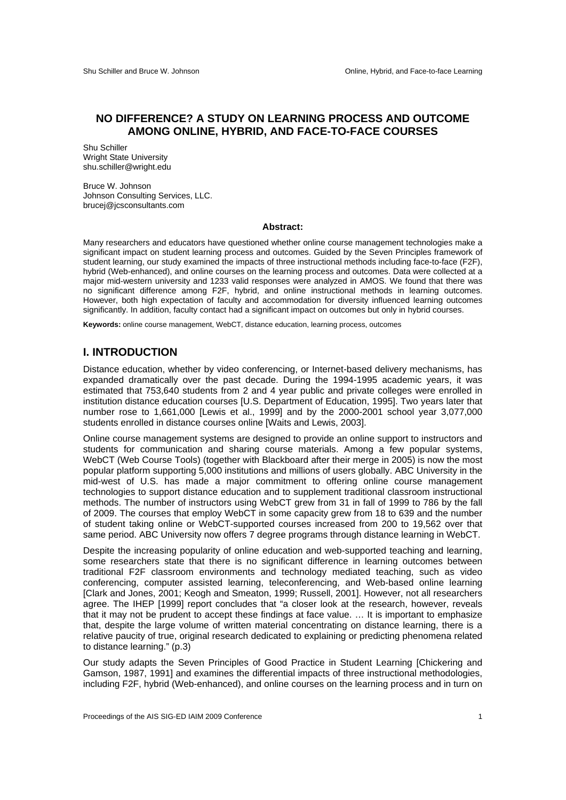#### **NO DIFFERENCE? A STUDY ON LEARNING PROCESS AND OUTCOME AMONG ONLINE, HYBRID, AND FACE-TO-FACE COURSES**

Shu Schiller Wright State University shu.schiller@wright.edu

Bruce W. Johnson Johnson Consulting Services, LLC. brucej@jcsconsultants.com

#### **Abstract:**

Many researchers and educators have questioned whether online course management technologies make a significant impact on student learning process and outcomes. Guided by the Seven Principles framework of student learning, our study examined the impacts of three instructional methods including face-to-face (F2F), hybrid (Web-enhanced), and online courses on the learning process and outcomes. Data were collected at a major mid-western university and 1233 valid responses were analyzed in AMOS. We found that there was no significant difference among F2F, hybrid, and online instructional methods in learning outcomes. However, both high expectation of faculty and accommodation for diversity influenced learning outcomes significantly. In addition, faculty contact had a significant impact on outcomes but only in hybrid courses.

**Keywords:** online course management, WebCT, distance education, learning process, outcomes

#### **I. INTRODUCTION**

Distance education, whether by video conferencing, or Internet-based delivery mechanisms, has expanded dramatically over the past decade. During the 1994-1995 academic years, it was estimated that 753,640 students from 2 and 4 year public and private colleges were enrolled in institution distance education courses [U.S. Department of Education, 1995]. Two years later that number rose to 1,661,000 [Lewis et al., 1999] and by the 2000-2001 school year 3,077,000 students enrolled in distance courses online [Waits and Lewis, 2003].

Online course management systems are designed to provide an online support to instructors and students for communication and sharing course materials. Among a few popular systems, WebCT (Web Course Tools) (together with Blackboard after their merge in 2005) is now the most popular platform supporting 5,000 institutions and millions of users globally. ABC University in the mid-west of U.S. has made a major commitment to offering online course management technologies to support distance education and to supplement traditional classroom instructional methods. The number of instructors using WebCT grew from 31 in fall of 1999 to 786 by the fall of 2009. The courses that employ WebCT in some capacity grew from 18 to 639 and the number of student taking online or WebCT-supported courses increased from 200 to 19,562 over that same period. ABC University now offers 7 degree programs through distance learning in WebCT.

Despite the increasing popularity of online education and web-supported teaching and learning, some researchers state that there is no significant difference in learning outcomes between traditional F2F classroom environments and technology mediated teaching, such as video conferencing, computer assisted learning, teleconferencing, and Web-based online learning [Clark and Jones, 2001; Keogh and Smeaton, 1999; Russell, 2001]. However, not all researchers agree. The IHEP [1999] report concludes that "a closer look at the research, however, reveals that it may not be prudent to accept these findings at face value. … It is important to emphasize that, despite the large volume of written material concentrating on distance learning, there is a relative paucity of true, original research dedicated to explaining or predicting phenomena related to distance learning." (p.3)

Our study adapts the Seven Principles of Good Practice in Student Learning [Chickering and Gamson, 1987, 1991] and examines the differential impacts of three instructional methodologies, including F2F, hybrid (Web-enhanced), and online courses on the learning process and in turn on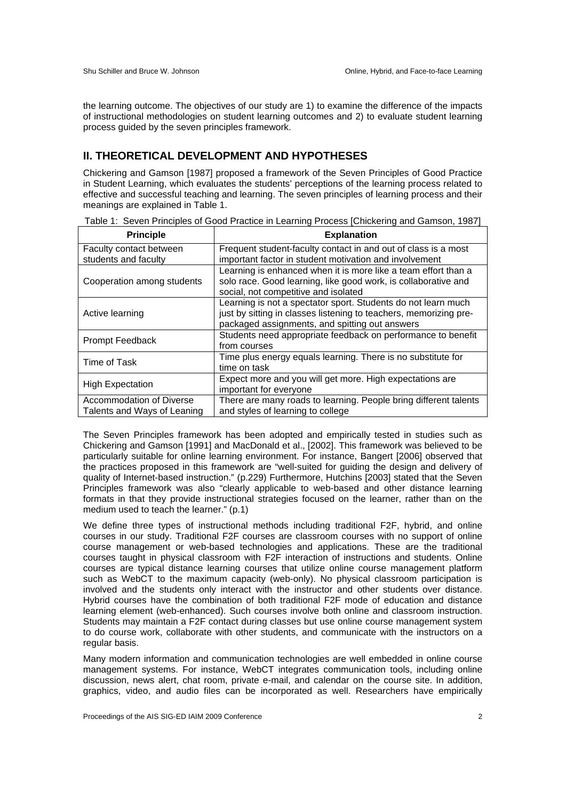the learning outcome. The objectives of our study are 1) to examine the difference of the impacts of instructional methodologies on student learning outcomes and 2) to evaluate student learning process guided by the seven principles framework.

### **II. THEORETICAL DEVELOPMENT AND HYPOTHESES**

Chickering and Gamson [1987] proposed a framework of the Seven Principles of Good Practice in Student Learning, which evaluates the students' perceptions of the learning process related to effective and successful teaching and learning. The seven principles of learning process and their meanings are explained in Table 1.

| <b>Principle</b>                                        | <b>Explanation</b>                                                                                                                                                                   |
|---------------------------------------------------------|--------------------------------------------------------------------------------------------------------------------------------------------------------------------------------------|
| Faculty contact between<br>students and faculty         | Frequent student-faculty contact in and out of class is a most<br>important factor in student motivation and involvement                                                             |
| Cooperation among students                              | Learning is enhanced when it is more like a team effort than a<br>solo race. Good learning, like good work, is collaborative and<br>social, not competitive and isolated             |
| Active learning                                         | Learning is not a spectator sport. Students do not learn much<br>just by sitting in classes listening to teachers, memorizing pre-<br>packaged assignments, and spitting out answers |
| Prompt Feedback                                         | Students need appropriate feedback on performance to benefit<br>from courses                                                                                                         |
| Time of Task                                            | Time plus energy equals learning. There is no substitute for<br>time on task                                                                                                         |
| <b>High Expectation</b>                                 | Expect more and you will get more. High expectations are<br>important for everyone                                                                                                   |
| Accommodation of Diverse<br>Talents and Ways of Leaning | There are many roads to learning. People bring different talents<br>and styles of learning to college                                                                                |

Table 1: Seven Principles of Good Practice in Learning Process [Chickering and Gamson, 1987]

The Seven Principles framework has been adopted and empirically tested in studies such as Chickering and Gamson [1991] and MacDonald et al., [2002]. This framework was believed to be particularly suitable for online learning environment. For instance, Bangert [2006] observed that the practices proposed in this framework are "well-suited for guiding the design and delivery of quality of Internet-based instruction." (p.229) Furthermore, Hutchins [2003] stated that the Seven Principles framework was also "clearly applicable to web-based and other distance learning formats in that they provide instructional strategies focused on the learner, rather than on the medium used to teach the learner." (p.1)

We define three types of instructional methods including traditional F2F, hybrid, and online courses in our study. Traditional F2F courses are classroom courses with no support of online course management or web-based technologies and applications. These are the traditional courses taught in physical classroom with F2F interaction of instructions and students. Online courses are typical distance learning courses that utilize online course management platform such as WebCT to the maximum capacity (web-only). No physical classroom participation is involved and the students only interact with the instructor and other students over distance. Hybrid courses have the combination of both traditional F2F mode of education and distance learning element (web-enhanced). Such courses involve both online and classroom instruction. Students may maintain a F2F contact during classes but use online course management system to do course work, collaborate with other students, and communicate with the instructors on a regular basis.

Many modern information and communication technologies are well embedded in online course management systems. For instance, WebCT integrates communication tools, including online discussion, news alert, chat room, private e-mail, and calendar on the course site. In addition, graphics, video, and audio files can be incorporated as well. Researchers have empirically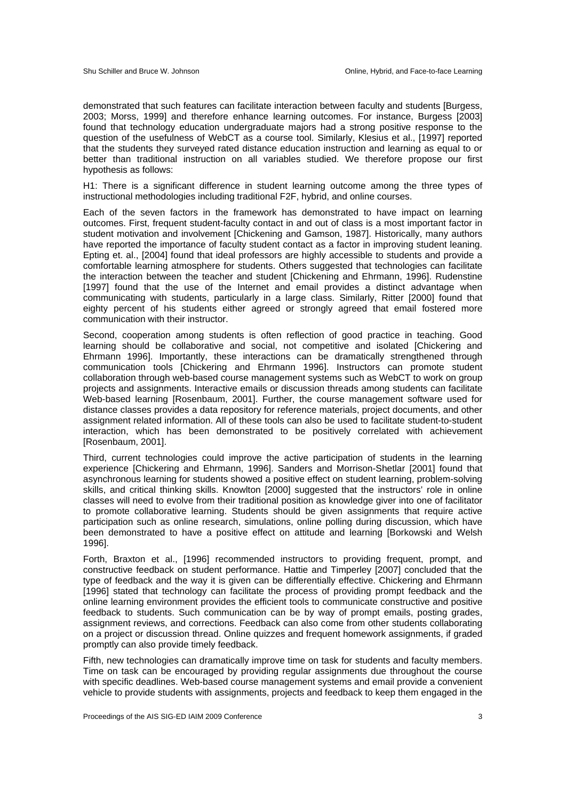demonstrated that such features can facilitate interaction between faculty and students [Burgess, 2003; Morss, 1999] and therefore enhance learning outcomes. For instance, Burgess [2003] found that technology education undergraduate majors had a strong positive response to the question of the usefulness of WebCT as a course tool. Similarly, Klesius et al., [1997] reported that the students they surveyed rated distance education instruction and learning as equal to or better than traditional instruction on all variables studied. We therefore propose our first hypothesis as follows:

H1: There is a significant difference in student learning outcome among the three types of instructional methodologies including traditional F2F, hybrid, and online courses.

Each of the seven factors in the framework has demonstrated to have impact on learning outcomes. First, frequent student-faculty contact in and out of class is a most important factor in student motivation and involvement [Chickening and Gamson, 1987]. Historically, many authors have reported the importance of faculty student contact as a factor in improving student leaning. Epting et. al., [2004] found that ideal professors are highly accessible to students and provide a comfortable learning atmosphere for students. Others suggested that technologies can facilitate the interaction between the teacher and student [Chickening and Ehrmann, 1996]. Rudenstine [1997] found that the use of the Internet and email provides a distinct advantage when communicating with students, particularly in a large class. Similarly, Ritter [2000] found that eighty percent of his students either agreed or strongly agreed that email fostered more communication with their instructor.

Second, cooperation among students is often reflection of good practice in teaching. Good learning should be collaborative and social, not competitive and isolated [Chickering and Ehrmann 1996]. Importantly, these interactions can be dramatically strengthened through communication tools [Chickering and Ehrmann 1996]. Instructors can promote student collaboration through web-based course management systems such as WebCT to work on group projects and assignments. Interactive emails or discussion threads among students can facilitate Web-based learning [Rosenbaum, 2001]. Further, the course management software used for distance classes provides a data repository for reference materials, project documents, and other assignment related information. All of these tools can also be used to facilitate student-to-student interaction, which has been demonstrated to be positively correlated with achievement [Rosenbaum, 2001].

Third, current technologies could improve the active participation of students in the learning experience [Chickering and Ehrmann, 1996]. Sanders and Morrison-Shetlar [2001] found that asynchronous learning for students showed a positive effect on student learning, problem-solving skills, and critical thinking skills. Knowlton [2000] suggested that the instructors' role in online classes will need to evolve from their traditional position as knowledge giver into one of facilitator to promote collaborative learning. Students should be given assignments that require active participation such as online research, simulations, online polling during discussion, which have been demonstrated to have a positive effect on attitude and learning [Borkowski and Welsh 1996].

Forth, Braxton et al., [1996] recommended instructors to providing frequent, prompt, and constructive feedback on student performance. Hattie and Timperley [2007] concluded that the type of feedback and the way it is given can be differentially effective. Chickering and Ehrmann [1996] stated that technology can facilitate the process of providing prompt feedback and the online learning environment provides the efficient tools to communicate constructive and positive feedback to students. Such communication can be by way of prompt emails, posting grades, assignment reviews, and corrections. Feedback can also come from other students collaborating on a project or discussion thread. Online quizzes and frequent homework assignments, if graded promptly can also provide timely feedback.

Fifth, new technologies can dramatically improve time on task for students and faculty members. Time on task can be encouraged by providing regular assignments due throughout the course with specific deadlines. Web-based course management systems and email provide a convenient vehicle to provide students with assignments, projects and feedback to keep them engaged in the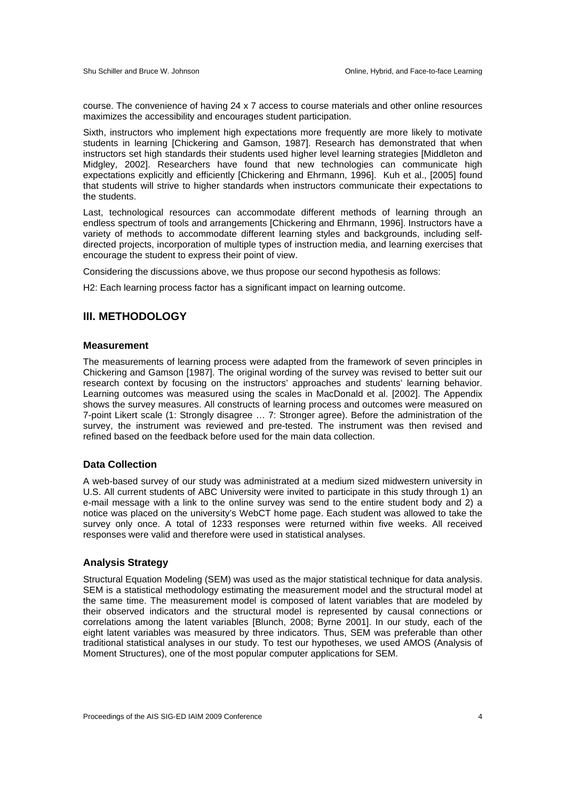course. The convenience of having 24 x 7 access to course materials and other online resources maximizes the accessibility and encourages student participation.

Sixth, instructors who implement high expectations more frequently are more likely to motivate students in learning [Chickering and Gamson, 1987]. Research has demonstrated that when instructors set high standards their students used higher level learning strategies [Middleton and Midgley, 2002]. Researchers have found that new technologies can communicate high expectations explicitly and efficiently [Chickering and Ehrmann, 1996]. Kuh et al., [2005] found that students will strive to higher standards when instructors communicate their expectations to the students.

Last, technological resources can accommodate different methods of learning through an endless spectrum of tools and arrangements [Chickering and Ehrmann, 1996]. Instructors have a variety of methods to accommodate different learning styles and backgrounds, including selfdirected projects, incorporation of multiple types of instruction media, and learning exercises that encourage the student to express their point of view.

Considering the discussions above, we thus propose our second hypothesis as follows:

H2: Each learning process factor has a significant impact on learning outcome.

#### **III. METHODOLOGY**

#### **Measurement**

The measurements of learning process were adapted from the framework of seven principles in Chickering and Gamson [1987]. The original wording of the survey was revised to better suit our research context by focusing on the instructors' approaches and students' learning behavior. Learning outcomes was measured using the scales in MacDonald et al. [2002]. The Appendix shows the survey measures. All constructs of learning process and outcomes were measured on 7-point Likert scale (1: Strongly disagree … 7: Stronger agree). Before the administration of the survey, the instrument was reviewed and pre-tested. The instrument was then revised and refined based on the feedback before used for the main data collection.

#### **Data Collection**

A web-based survey of our study was administrated at a medium sized midwestern university in U.S. All current students of ABC University were invited to participate in this study through 1) an e-mail message with a link to the online survey was send to the entire student body and 2) a notice was placed on the university's WebCT home page. Each student was allowed to take the survey only once. A total of 1233 responses were returned within five weeks. All received responses were valid and therefore were used in statistical analyses.

#### **Analysis Strategy**

Structural Equation Modeling (SEM) was used as the major statistical technique for data analysis. SEM is a statistical methodology estimating the measurement model and the structural model at the same time. The measurement model is composed of latent variables that are modeled by their observed indicators and the structural model is represented by causal connections or correlations among the latent variables [Blunch, 2008; Byrne 2001]. In our study, each of the eight latent variables was measured by three indicators. Thus, SEM was preferable than other traditional statistical analyses in our study. To test our hypotheses, we used AMOS (Analysis of Moment Structures), one of the most popular computer applications for SEM.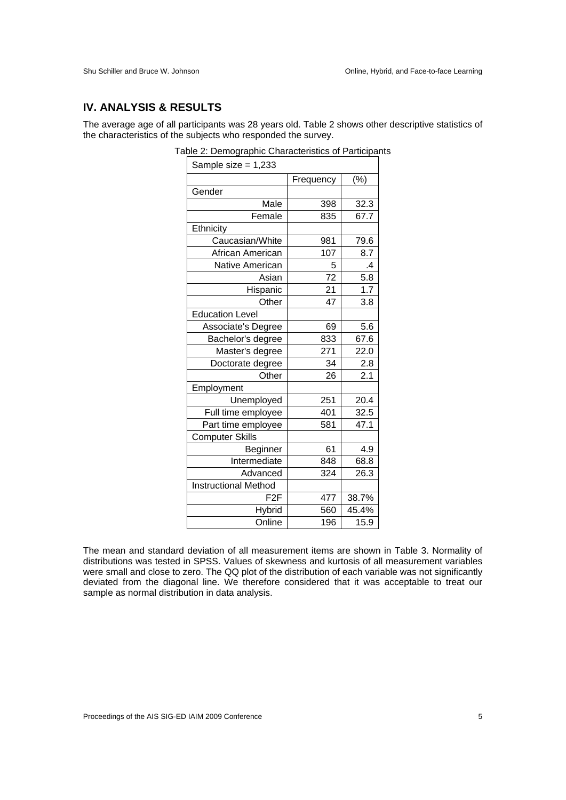#### **IV. ANALYSIS & RESULTS**

The average age of all participants was 28 years old. Table 2 shows other descriptive statistics of the characteristics of the subjects who responded the survey.

| Sample size $= 1,233$       |                 |                  |
|-----------------------------|-----------------|------------------|
|                             | Frequency       | $(\% )$          |
| Gender                      |                 |                  |
| Male                        | 398             | 32.3             |
| Female                      | 835             | 67.7             |
| Ethnicity                   |                 |                  |
| Caucasian/White             | 981             | 79.6             |
| African American            | 107             | 8.7              |
| Native American             | 5               | $\cdot$          |
| Asian                       | $\overline{72}$ | $\overline{5.8}$ |
| Hispanic                    | 21              | 1.7              |
| Other                       | 47              | 3.8              |
| <b>Education Level</b>      |                 |                  |
| Associate's Degree          | 69              | 5.6              |
| Bachelor's degree           | 833             | 67.6             |
| Master's degree             | 271             | 22.0             |
| Doctorate degree            | 34              | 2.8              |
| Other                       | 26              | 2.1              |
| Employment                  |                 |                  |
| Unemployed                  | 251             | 20.4             |
| Full time employee          | 401             | 32.5             |
| Part time employee          | 581             | 47.1             |
| <b>Computer Skills</b>      |                 |                  |
| Beginner                    | 61              | 4.9              |
| Intermediate                | 848             | 68.8             |
| Advanced                    | 324             | 26.3             |
| <b>Instructional Method</b> |                 |                  |
| F <sub>2</sub> F            | 477             | 38.7%            |
| Hybrid                      | 560             | 45.4%            |
| Online                      | 196             | 15.9             |

Table 2: Demographic Characteristics of Participants

The mean and standard deviation of all measurement items are shown in Table 3. Normality of distributions was tested in SPSS. Values of skewness and kurtosis of all measurement variables were small and close to zero. The QQ plot of the distribution of each variable was not significantly deviated from the diagonal line. We therefore considered that it was acceptable to treat our sample as normal distribution in data analysis.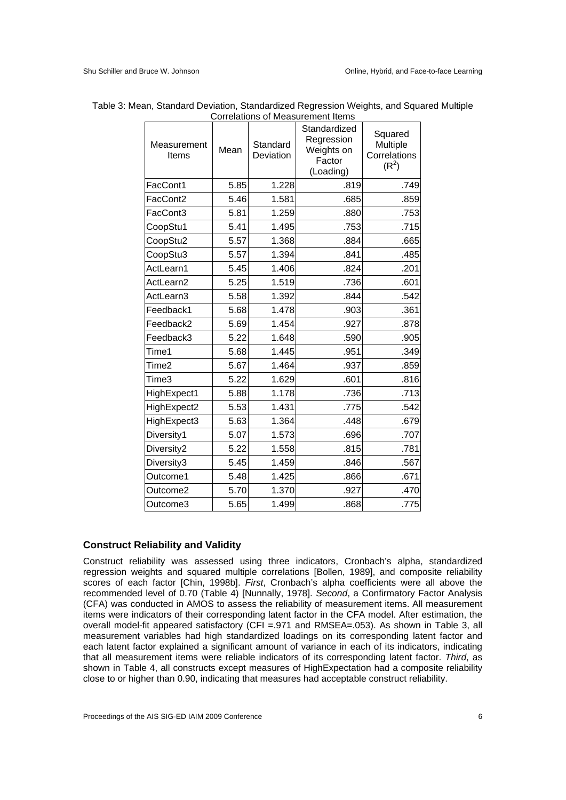| Measurement<br>Items | Mean | Standard<br>Deviation | Standardized<br>Regression<br>Weights on<br>Factor<br>(Loading) | Squared<br>Multiple<br>Correlations<br>$(R^2)$ |
|----------------------|------|-----------------------|-----------------------------------------------------------------|------------------------------------------------|
| FacCont1             | 5.85 | 1.228                 | .819                                                            | .749                                           |
| FacCont2             | 5.46 | 1.581                 | .685                                                            | .859                                           |
| FacCont3             | 5.81 | 1.259                 | .880                                                            | .753                                           |
| CoopStu1             | 5.41 | 1.495                 | .753                                                            | .715                                           |
| CoopStu2             | 5.57 | 1.368                 | .884                                                            | .665                                           |
| CoopStu3             | 5.57 | 1.394                 | .841                                                            | .485                                           |
| ActLearn1            | 5.45 | 1.406                 | .824                                                            | .201                                           |
| ActLearn2            | 5.25 | 1.519                 | .736                                                            | .601                                           |
| ActLearn3            | 5.58 | 1.392                 | .844                                                            | .542                                           |
| Feedback1            | 5.68 | 1.478                 | .903                                                            | .361                                           |
| Feedback2            | 5.69 | 1.454                 | .927                                                            | .878                                           |
| Feedback3            | 5.22 | 1.648                 | .590                                                            | .905                                           |
| Time1                | 5.68 | 1.445                 | .951                                                            | .349                                           |
| Time2                | 5.67 | 1.464                 | .937                                                            | .859                                           |
| Time3                | 5.22 | 1.629                 | .601                                                            | .816                                           |
| HighExpect1          | 5.88 | 1.178                 | .736                                                            | .713                                           |
| HighExpect2          | 5.53 | 1.431                 | .775                                                            | .542                                           |
| HighExpect3          | 5.63 | 1.364                 | .448                                                            | .679                                           |
| Diversity1           | 5.07 | 1.573                 | .696                                                            | .707                                           |
| Diversity2           | 5.22 | 1.558                 | .815                                                            | .781                                           |
| Diversity3           | 5.45 | 1.459                 | .846                                                            | .567                                           |
| Outcome1             | 5.48 | 1.425                 | .866                                                            | .671                                           |
| Outcome2             | 5.70 | 1.370                 | .927                                                            | .470                                           |
| Outcome3             | 5.65 | 1.499                 | .868                                                            | .775                                           |

#### Table 3: Mean, Standard Deviation, Standardized Regression Weights, and Squared Multiple Correlations of Measurement Items

#### **Construct Reliability and Validity**

Construct reliability was assessed using three indicators, Cronbach's alpha, standardized regression weights and squared multiple correlations [Bollen, 1989], and composite reliability scores of each factor [Chin, 1998b]. *First*, Cronbach's alpha coefficients were all above the recommended level of 0.70 (Table 4) [Nunnally, 1978]. *Second*, a Confirmatory Factor Analysis (CFA) was conducted in AMOS to assess the reliability of measurement items. All measurement items were indicators of their corresponding latent factor in the CFA model. After estimation, the overall model-fit appeared satisfactory (CFI = 971 and RMSEA=.053). As shown in Table 3, all measurement variables had high standardized loadings on its corresponding latent factor and each latent factor explained a significant amount of variance in each of its indicators, indicating that all measurement items were reliable indicators of its corresponding latent factor. *Third*, as shown in Table 4, all constructs except measures of HighExpectation had a composite reliability close to or higher than 0.90, indicating that measures had acceptable construct reliability.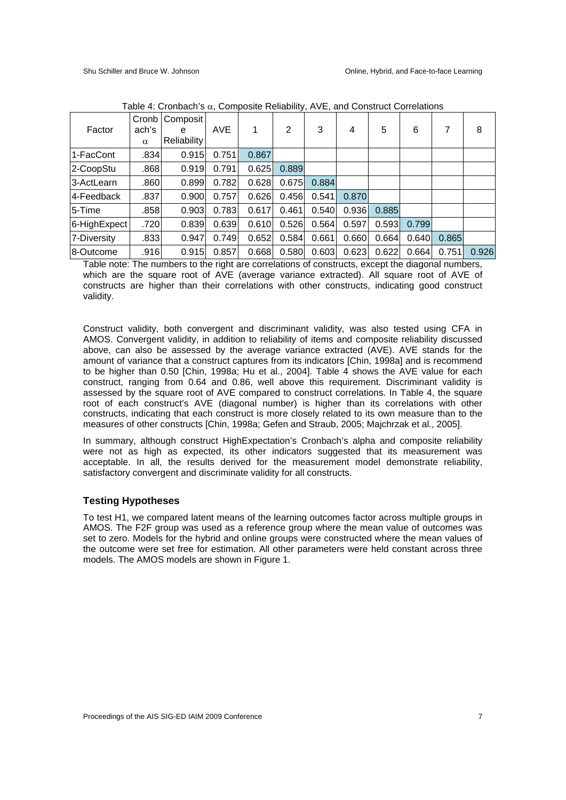| Factor       | Cronb<br>ach's<br>$\alpha$ | Composit<br>e<br><b>Reliability</b> | <b>AVE</b> | 1     | 2     | 3     | 4     | 5     | 6     | 7     | 8     |
|--------------|----------------------------|-------------------------------------|------------|-------|-------|-------|-------|-------|-------|-------|-------|
| 1-FacCont    | .834                       | 0.915                               | 0.751      | 0.867 |       |       |       |       |       |       |       |
| 2-CoopStu    | .868                       | 0.919                               | 0.791      | 0.625 | 0.889 |       |       |       |       |       |       |
| 3-ActLearn   | .860                       | 0.899                               | 0.782      | 0.628 | 0.675 | 0.884 |       |       |       |       |       |
| 4-Feedback   | .837                       | 0.900                               | 0.757      | 0.626 | 0.456 | 0.541 | 0.870 |       |       |       |       |
| 5-Time       | .858                       | 0.903                               | 0.783      | 0.617 | 0.461 | 0.540 | 0.936 | 0.885 |       |       |       |
| 6-HighExpect | .720                       | 0.839                               | 0.639      | 0.610 | 0.526 | 0.564 | 0.597 | 0.593 | 0.799 |       |       |
| 7-Diversity  | .833                       | 0.947                               | 0.749      | 0.652 | 0.584 | 0.661 | 0.660 | 0.664 | 0.640 | 0.865 |       |
| 8-Outcome    | .916                       | 0.915                               | 0.857      | 0.668 | 0.580 | 0.603 | 0.623 | 0.622 | 0.664 | 0.751 | 0.926 |

Table 4: Cronbach's  $\alpha$ , Composite Reliability, AVE, and Construct Correlations

Table note: The numbers to the right are correlations of constructs, except the diagonal numbers, which are the square root of AVE (average variance extracted). All square root of AVE of constructs are higher than their correlations with other constructs, indicating good construct validity.

Construct validity, both convergent and discriminant validity, was also tested using CFA in AMOS. Convergent validity, in addition to reliability of items and composite reliability discussed above, can also be assessed by the average variance extracted (AVE). AVE stands for the amount of variance that a construct captures from its indicators [Chin, 1998a] and is recommend to be higher than 0.50 [Chin, 1998a; Hu et al., 2004]. Table 4 shows the AVE value for each construct, ranging from 0.64 and 0.86, well above this requirement. Discriminant validity is assessed by the square root of AVE compared to construct correlations. In Table 4, the square root of each construct's AVE (diagonal number) is higher than its correlations with other constructs, indicating that each construct is more closely related to its own measure than to the measures of other constructs [Chin, 1998a; Gefen and Straub, 2005; Majchrzak et al., 2005].

In summary, although construct HighExpectation's Cronbach's alpha and composite reliability were not as high as expected, its other indicators suggested that its measurement was acceptable. In all, the results derived for the measurement model demonstrate reliability, satisfactory convergent and discriminate validity for all constructs.

#### **Testing Hypotheses**

To test H1, we compared latent means of the learning outcomes factor across multiple groups in AMOS. The F2F group was used as a reference group where the mean value of outcomes was set to zero. Models for the hybrid and online groups were constructed where the mean values of the outcome were set free for estimation. All other parameters were held constant across three models. The AMOS models are shown in Figure 1.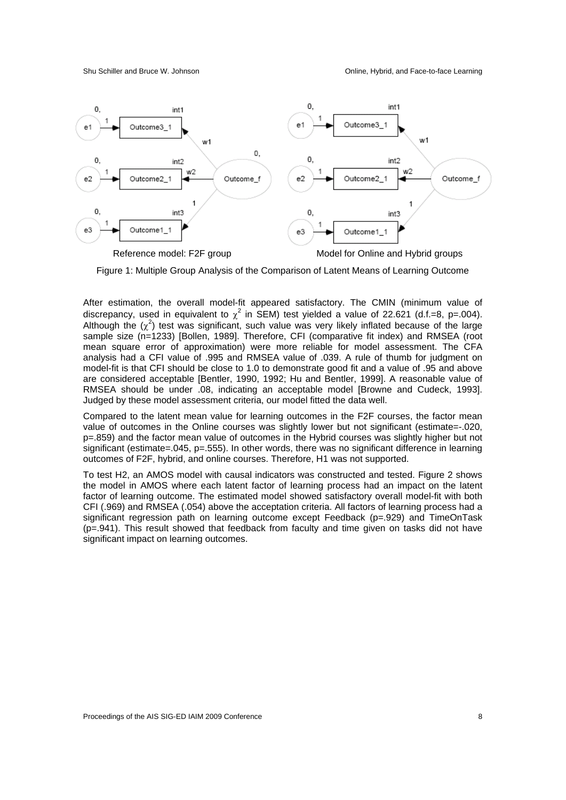

Figure 1: Multiple Group Analysis of the Comparison of Latent Means of Learning Outcome

After estimation, the overall model-fit appeared satisfactory. The CMIN (minimum value of discrepancy, used in equivalent to  $\chi^2$  in SEM) test yielded a value of 22.621 (d.f.=8, p=.004). Although the  $(\chi^2)$  test was significant, such value was very likely inflated because of the large sample size (n=1233) [Bollen, 1989]. Therefore, CFI (comparative fit index) and RMSEA (root mean square error of approximation) were more reliable for model assessment. The CFA analysis had a CFI value of .995 and RMSEA value of .039. A rule of thumb for judgment on model-fit is that CFI should be close to 1.0 to demonstrate good fit and a value of .95 and above are considered acceptable [Bentler, 1990, 1992; Hu and Bentler, 1999]. A reasonable value of RMSEA should be under .08, indicating an acceptable model [Browne and Cudeck, 1993]. Judged by these model assessment criteria, our model fitted the data well.

Compared to the latent mean value for learning outcomes in the F2F courses, the factor mean value of outcomes in the Online courses was slightly lower but not significant (estimate=-.020, p=.859) and the factor mean value of outcomes in the Hybrid courses was slightly higher but not significant (estimate=.045, p=.555). In other words, there was no significant difference in learning outcomes of F2F, hybrid, and online courses. Therefore, H1 was not supported.

To test H2, an AMOS model with causal indicators was constructed and tested. Figure 2 shows the model in AMOS where each latent factor of learning process had an impact on the latent factor of learning outcome. The estimated model showed satisfactory overall model-fit with both CFI (.969) and RMSEA (.054) above the acceptation criteria. All factors of learning process had a significant regression path on learning outcome except Feedback (p=.929) and TimeOnTask (p=.941). This result showed that feedback from faculty and time given on tasks did not have significant impact on learning outcomes.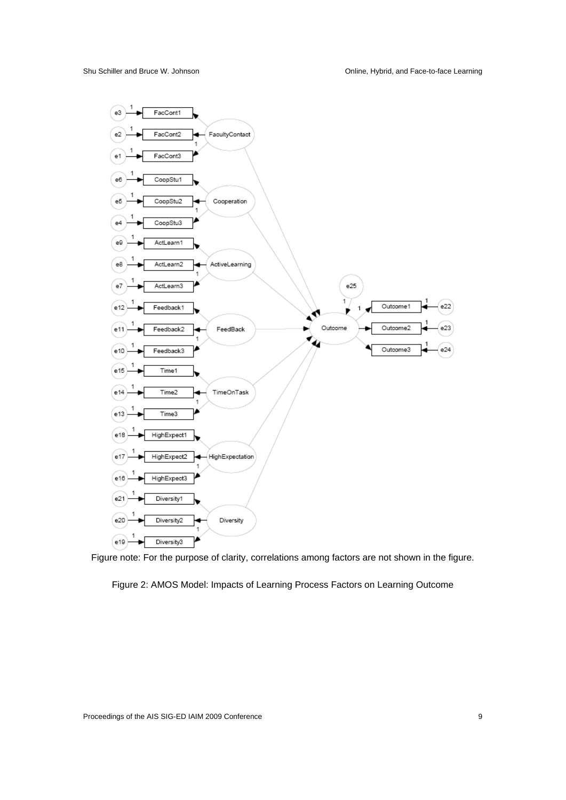

Figure note: For the purpose of clarity, correlations among factors are not shown in the figure.

Figure 2: AMOS Model: Impacts of Learning Process Factors on Learning Outcome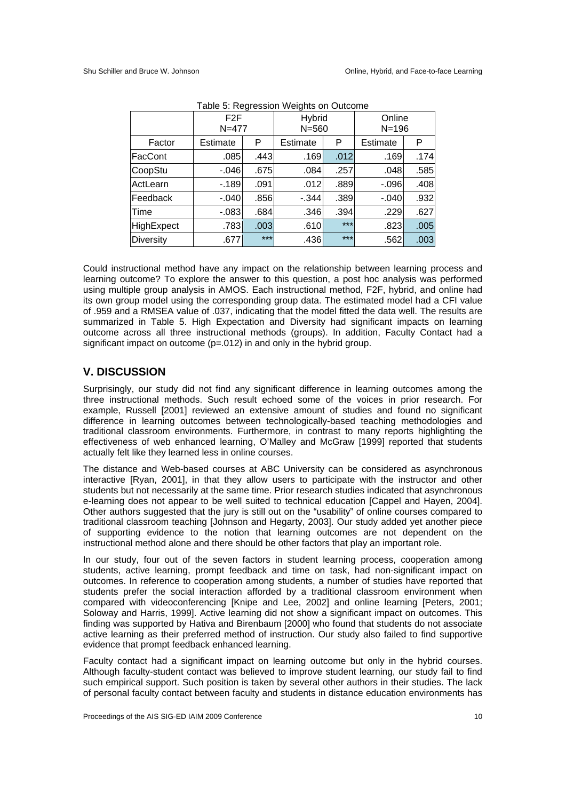|            | F2F<br>$N = 477$ |       | Hybrid<br>$N = 560$ |       | Online<br>$N = 196$ |      |
|------------|------------------|-------|---------------------|-------|---------------------|------|
| Factor     | Estimate         | P     | Estimate            | P     | Estimate            | P    |
| FacCont    | .085             | .443  | .169                | .012  | .169                | .174 |
| CoopStu    | $-.046$          | .675  | .084                | .257  | .048                | .585 |
| ActLearn   | $-189$           | .091  | .012                | .889  | $-0.096$            | .408 |
| Feedback   | $-.040$          | .856  | $-.344$             | .389  | $-.040$             | .932 |
| Time       | $-.083$          | .684  | .346                | .394  | .229                | .627 |
| HighExpect | .783             | .003  | .610                | $***$ | .823                | .005 |
| Diversity  | .677             | $***$ | .436                | $***$ | .562                | .003 |

| Table 5: Regression Weights on Outcome |  |
|----------------------------------------|--|
|                                        |  |

Could instructional method have any impact on the relationship between learning process and learning outcome? To explore the answer to this question, a post hoc analysis was performed using multiple group analysis in AMOS. Each instructional method, F2F, hybrid, and online had its own group model using the corresponding group data. The estimated model had a CFI value of .959 and a RMSEA value of .037, indicating that the model fitted the data well. The results are summarized in Table 5. High Expectation and Diversity had significant impacts on learning outcome across all three instructional methods (groups). In addition, Faculty Contact had a significant impact on outcome (p=.012) in and only in the hybrid group.

### **V. DISCUSSION**

Surprisingly, our study did not find any significant difference in learning outcomes among the three instructional methods. Such result echoed some of the voices in prior research. For example, Russell [2001] reviewed an extensive amount of studies and found no significant difference in learning outcomes between technologically-based teaching methodologies and traditional classroom environments. Furthermore, in contrast to many reports highlighting the effectiveness of web enhanced learning, O'Malley and McGraw [1999] reported that students actually felt like they learned less in online courses.

The distance and Web-based courses at ABC University can be considered as asynchronous interactive [Ryan, 2001], in that they allow users to participate with the instructor and other students but not necessarily at the same time. Prior research studies indicated that asynchronous e-learning does not appear to be well suited to technical education [Cappel and Hayen, 2004]. Other authors suggested that the jury is still out on the "usability" of online courses compared to traditional classroom teaching [Johnson and Hegarty, 2003]. Our study added yet another piece of supporting evidence to the notion that learning outcomes are not dependent on the instructional method alone and there should be other factors that play an important role.

In our study, four out of the seven factors in student learning process, cooperation among students, active learning, prompt feedback and time on task, had non-significant impact on outcomes. In reference to cooperation among students, a number of studies have reported that students prefer the social interaction afforded by a traditional classroom environment when compared with videoconferencing [Knipe and Lee, 2002] and online learning [Peters, 2001; Soloway and Harris, 1999]. Active learning did not show a significant impact on outcomes. This finding was supported by Hativa and Birenbaum [2000] who found that students do not associate active learning as their preferred method of instruction. Our study also failed to find supportive evidence that prompt feedback enhanced learning.

Faculty contact had a significant impact on learning outcome but only in the hybrid courses. Although faculty-student contact was believed to improve student learning, our study fail to find such empirical support. Such position is taken by several other authors in their studies. The lack of personal faculty contact between faculty and students in distance education environments has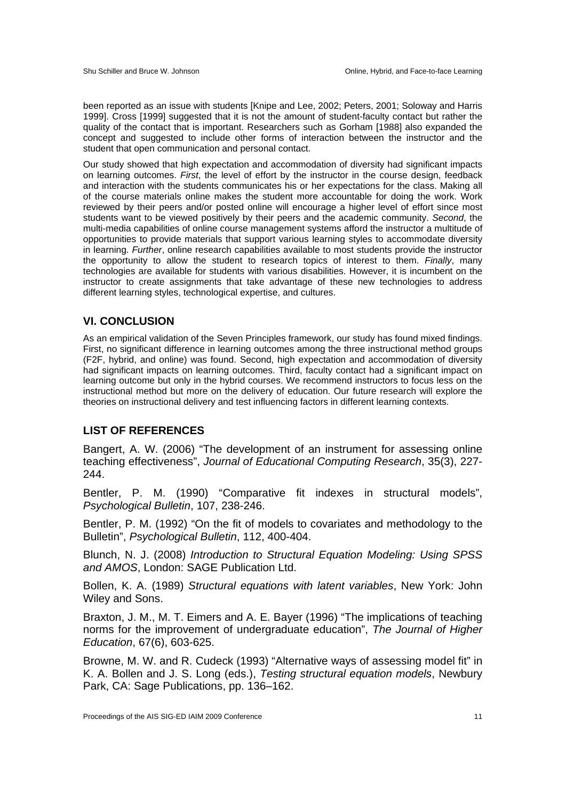been reported as an issue with students [Knipe and Lee, 2002; Peters, 2001; Soloway and Harris 1999]. Cross [1999] suggested that it is not the amount of student-faculty contact but rather the quality of the contact that is important. Researchers such as Gorham [1988] also expanded the concept and suggested to include other forms of interaction between the instructor and the student that open communication and personal contact.

Our study showed that high expectation and accommodation of diversity had significant impacts on learning outcomes. *First*, the level of effort by the instructor in the course design, feedback and interaction with the students communicates his or her expectations for the class. Making all of the course materials online makes the student more accountable for doing the work. Work reviewed by their peers and/or posted online will encourage a higher level of effort since most students want to be viewed positively by their peers and the academic community. *Second*, the multi-media capabilities of online course management systems afford the instructor a multitude of opportunities to provide materials that support various learning styles to accommodate diversity in learning. *Further*, online research capabilities available to most students provide the instructor the opportunity to allow the student to research topics of interest to them. *Finally*, many technologies are available for students with various disabilities. However, it is incumbent on the instructor to create assignments that take advantage of these new technologies to address different learning styles, technological expertise, and cultures.

#### **VI. CONCLUSION**

As an empirical validation of the Seven Principles framework, our study has found mixed findings. First, no significant difference in learning outcomes among the three instructional method groups (F2F, hybrid, and online) was found. Second, high expectation and accommodation of diversity had significant impacts on learning outcomes. Third, faculty contact had a significant impact on learning outcome but only in the hybrid courses. We recommend instructors to focus less on the instructional method but more on the delivery of education. Our future research will explore the theories on instructional delivery and test influencing factors in different learning contexts.

#### **LIST OF REFERENCES**

Bangert, A. W. (2006) "The development of an instrument for assessing online teaching effectiveness", *Journal of Educational Computing Research*, 35(3), 227- 244.

Bentler, P. M. (1990) "Comparative fit indexes in structural models", *Psychological Bulletin*, 107, 238-246.

Bentler, P. M. (1992) "On the fit of models to covariates and methodology to the Bulletin", *Psychological Bulletin*, 112, 400-404.

Blunch, N. J. (2008) *Introduction to Structural Equation Modeling: Using SPSS and AMOS*, London: SAGE Publication Ltd.

Bollen, K. A. (1989) *Structural equations with latent variables*, New York: John Wiley and Sons.

Braxton, J. M., M. T. Eimers and A. E. Bayer (1996) "The implications of teaching norms for the improvement of undergraduate education", *The Journal of Higher Education*, 67(6), 603-625.

Browne, M. W. and R. Cudeck (1993) "Alternative ways of assessing model fit" in K. A. Bollen and J. S. Long (eds.), *Testing structural equation models*, Newbury Park, CA: Sage Publications, pp. 136–162.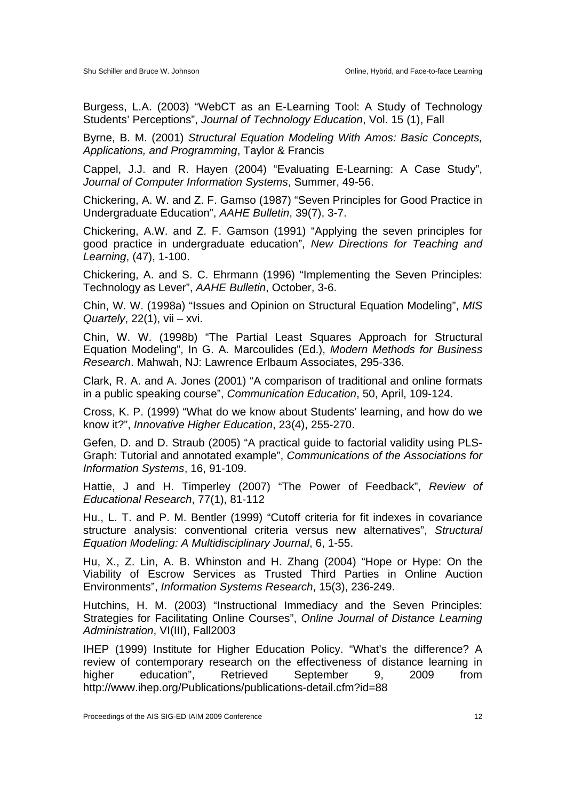Burgess, L.A. (2003) "WebCT as an E-Learning Tool: A Study of Technology Students' Perceptions", *Journal of Technology Education*, Vol. 15 (1), Fall

Byrne, B. M. (2001) *Structural Equation Modeling With Amos: Basic Concepts, Applications, and Programming*, Taylor & Francis

Cappel, J.J. and R. Hayen (2004) "Evaluating E-Learning: A Case Study", *Journal of Computer Information Systems*, Summer, 49-56.

Chickering, A. W. and Z. F. Gamso (1987) "Seven Principles for Good Practice in Undergraduate Education", *AAHE Bulletin*, 39(7), 3-7.

Chickering, A.W. and Z. F. Gamson (1991) "Applying the seven principles for good practice in undergraduate education", *New Directions for Teaching and Learning*, (47), 1-100.

Chickering, A. and S. C. Ehrmann (1996) "Implementing the Seven Principles: Technology as Lever", *AAHE Bulletin*, October, 3-6.

Chin, W. W. (1998a) "Issues and Opinion on Structural Equation Modeling", *MIS Quartely*, 22(1), vii – xvi.

Chin, W. W. (1998b) "The Partial Least Squares Approach for Structural Equation Modeling", In G. A. Marcoulides (Ed.), *Modern Methods for Business Research*. Mahwah, NJ: Lawrence Erlbaum Associates, 295-336.

Clark, R. A. and A. Jones (2001) "A comparison of traditional and online formats in a public speaking course", *Communication Education*, 50, April, 109-124.

Cross, K. P. (1999) "What do we know about Students' learning, and how do we know it?", *Innovative Higher Education*, 23(4), 255-270.

Gefen, D. and D. Straub (2005) "A practical guide to factorial validity using PLS-Graph: Tutorial and annotated example", *Communications of the Associations for Information Systems*, 16, 91-109.

Hattie, J and H. Timperley (2007) "The Power of Feedback", *Review of Educational Research*, 77(1), 81-112

Hu., L. T. and P. M. Bentler (1999) "Cutoff criteria for fit indexes in covariance structure analysis: conventional criteria versus new alternatives", *Structural Equation Modeling: A Multidisciplinary Journal*, 6, 1-55.

Hu, X., Z. Lin, A. B. Whinston and H. Zhang (2004) "Hope or Hype: On the Viability of Escrow Services as Trusted Third Parties in Online Auction Environments", *Information Systems Research*, 15(3), 236-249.

Hutchins, H. M. (2003) "Instructional Immediacy and the Seven Principles: Strategies for Facilitating Online Courses", *Online Journal of Distance Learning Administration*, VI(III), Fall2003

IHEP (1999) Institute for Higher Education Policy. "What's the difference? A review of contemporary research on the effectiveness of distance learning in higher education", Retrieved September 9, 2009 from http://www.ihep.org/Publications/publications-detail.cfm?id=88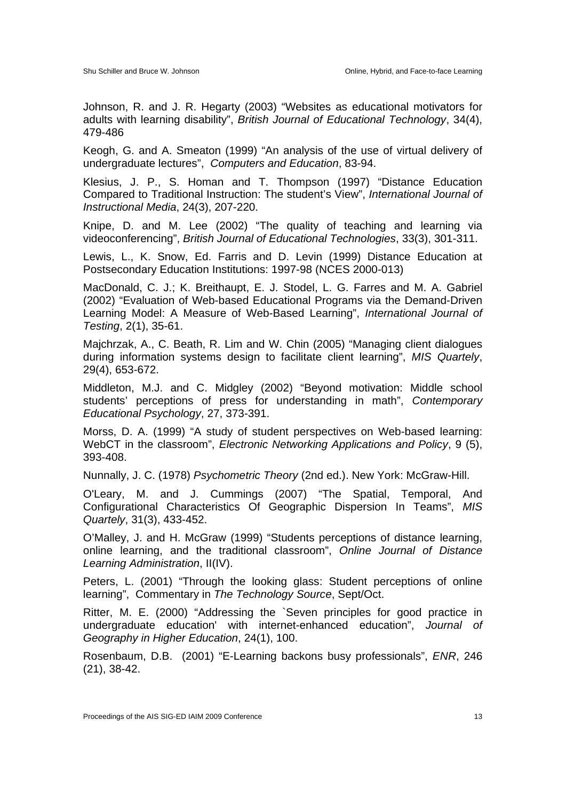Johnson, R. and J. R. Hegarty (2003) "Websites as educational motivators for adults with learning disability", *British Journal of Educational Technology*, 34(4), 479-486

Keogh, G. and A. Smeaton (1999) "An analysis of the use of virtual delivery of undergraduate lectures", *Computers and Education*, 83-94.

Klesius, J. P., S. Homan and T. Thompson (1997) "Distance Education Compared to Traditional Instruction: The student's View", *International Journal of Instructional Media*, 24(3), 207-220.

Knipe, D. and M. Lee (2002) "The quality of teaching and learning via videoconferencing", *British Journal of Educational Technologies*, 33(3), 301-311.

Lewis, L., K. Snow, Ed. Farris and D. Levin (1999) Distance Education at Postsecondary Education Institutions: 1997-98 (NCES 2000-013)

MacDonald, C. J.; K. Breithaupt, E. J. Stodel, L. G. Farres and M. A. Gabriel (2002) "Evaluation of Web-based Educational Programs via the Demand-Driven Learning Model: A Measure of Web-Based Learning", *International Journal of Testing*, 2(1), 35-61.

Majchrzak, A., C. Beath, R. Lim and W. Chin (2005) "Managing client dialogues during information systems design to facilitate client learning", *MIS Quartely*, 29(4), 653-672.

Middleton, M.J. and C. Midgley (2002) "Beyond motivation: Middle school students' perceptions of press for understanding in math", *Contemporary Educational Psychology*, 27, 373-391.

Morss, D. A. (1999) "A study of student perspectives on Web-based learning: WebCT in the classroom", *Electronic Networking Applications and Policy*, 9 (5), 393-408.

Nunnally, J. C. (1978) *Psychometric Theory* (2nd ed.). New York: McGraw-Hill.

O'Leary, M. and J. Cummings (2007) "The Spatial, Temporal, And Configurational Characteristics Of Geographic Dispersion In Teams", *MIS Quartely*, 31(3), 433-452.

O'Malley, J. and H. McGraw (1999) "Students perceptions of distance learning, online learning, and the traditional classroom", *Online Journal of Distance Learning Administration*, II(IV).

Peters, L. (2001) "Through the looking glass: Student perceptions of online learning", Commentary in *The Technology Source*, Sept/Oct.

Ritter, M. E. (2000) "Addressing the `Seven principles for good practice in undergraduate education' with internet-enhanced education", *Journal of Geography in Higher Education*, 24(1), 100.

Rosenbaum, D.B. (2001) "E-Learning backons busy professionals", *ENR*, 246 (21), 38-42.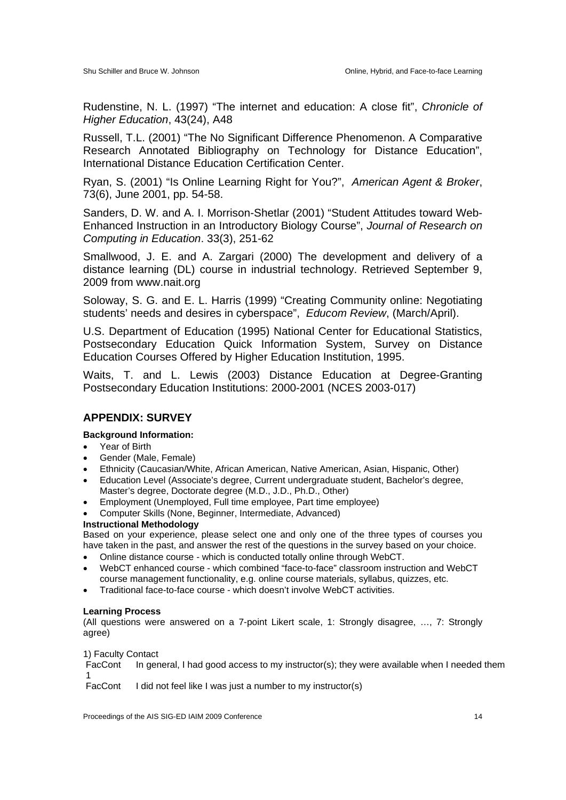Rudenstine, N. L. (1997) "The internet and education: A close fit", *Chronicle of Higher Education*, 43(24), A48

Russell, T.L. (2001) "The No Significant Difference Phenomenon. A Comparative Research Annotated Bibliography on Technology for Distance Education", International Distance Education Certification Center.

Ryan, S. (2001) "Is Online Learning Right for You?", *American Agent & Broker*, 73(6), June 2001, pp. 54-58.

Sanders, D. W. and A. I. Morrison-Shetlar (2001) "Student Attitudes toward Web-Enhanced Instruction in an Introductory Biology Course", *Journal of Research on Computing in Education*. 33(3), 251-62

Smallwood, J. E. and A. Zargari (2000) The development and delivery of a distance learning (DL) course in industrial technology. Retrieved September 9, 2009 from www.nait.org

Soloway, S. G. and E. L. Harris (1999) "Creating Community online: Negotiating students' needs and desires in cyberspace", *Educom Review*, (March/April).

U.S. Department of Education (1995) National Center for Educational Statistics, Postsecondary Education Quick Information System, Survey on Distance Education Courses Offered by Higher Education Institution, 1995.

Waits, T. and L. Lewis (2003) Distance Education at Degree-Granting Postsecondary Education Institutions: 2000-2001 (NCES 2003-017)

### **APPENDIX: SURVEY**

#### **Background Information:**

- Year of Birth
- Gender (Male, Female)
- Ethnicity (Caucasian/White, African American, Native American, Asian, Hispanic, Other)
- Education Level (Associate's degree, Current undergraduate student, Bachelor's degree, Master's degree, Doctorate degree (M.D., J.D., Ph.D., Other)
- Employment (Unemployed, Full time employee, Part time employee)
- Computer Skills (None, Beginner, Intermediate, Advanced)

#### **Instructional Methodology**

Based on your experience, please select one and only one of the three types of courses you have taken in the past, and answer the rest of the questions in the survey based on your choice.

- Online distance course which is conducted totally online through WebCT.
- WebCT enhanced course which combined "face-to-face" classroom instruction and WebCT course management functionality, e.g. online course materials, syllabus, quizzes, etc.
- Traditional face-to-face course which doesn't involve WebCT activities.

#### **Learning Process**

(All questions were answered on a 7-point Likert scale, 1: Strongly disagree, …, 7: Strongly agree)

1) Faculty Contact

FacCont 1 In general, I had good access to my instructor(s); they were available when I needed them

FacCont I did not feel like I was just a number to my instructor(s)

Proceedings of the AIS SIG-ED IAIM 2009 Conference 14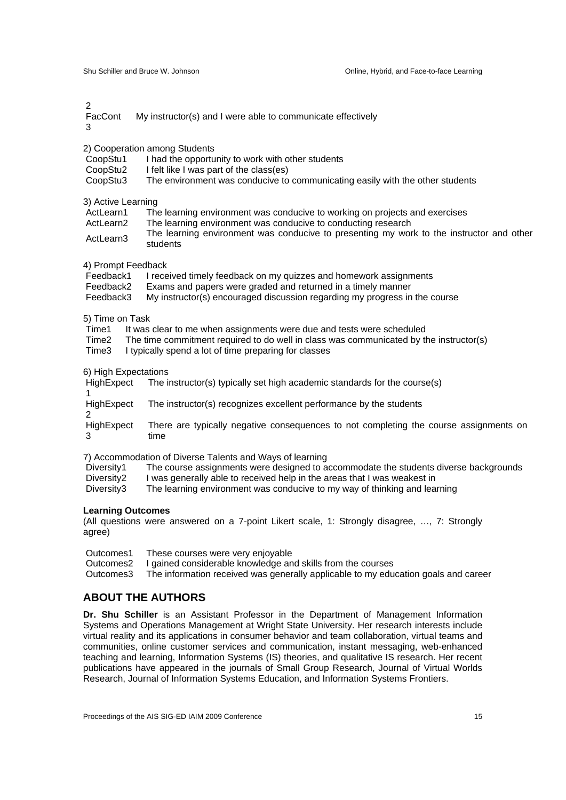$\mathcal{D}$ 

FacCont My instructor(s) and I were able to communicate effectively

3

2) Cooperation among Students

- CoopStu1 I had the opportunity to work with other students
- CoopStu2 I felt like I was part of the class(es)
- CoopStu3 The environment was conducive to communicating easily with the other students

#### 3) Active Learning

| ActLearn1 | The learning environment was conducive to working on projects and exercises                          |
|-----------|------------------------------------------------------------------------------------------------------|
| ActLearn2 | The learning environment was conducive to conducting research                                        |
| ActLearn3 | The learning environment was conducive to presenting my work to the instructor and other<br>students |

- 4) Prompt Feedback<br>Feedback1 I rece
- I received timely feedback on my quizzes and homework assignments
- Feedback2 Exams and papers were graded and returned in a timely manner<br>Feedback3 My instructor(s) encouraged discussion regarding my progress in
- $My$  instructor(s) encouraged discussion regarding my progress in the course

#### 5) Time on Task

- Time1 It was clear to me when assignments were due and tests were scheduled
- Time2 The time commitment required to do well in class was communicated by the instructor(s)
- Time3 I typically spend a lot of time preparing for classes

6) High Expectations

| HighExpect | The instructor(s) typically set high academic standards for the course(s)                     |
|------------|-----------------------------------------------------------------------------------------------|
| HighExpect | The instructor(s) recognizes excellent performance by the students                            |
| HighExpect | There are typically negative consequences to not completing the course assignments on<br>time |

7) Accommodation of Diverse Talents and Ways of learning

| Diversity1 |  |  | The course assignments were designed to accommodate the students diverse backgrounds |
|------------|--|--|--------------------------------------------------------------------------------------|
|------------|--|--|--------------------------------------------------------------------------------------|

- Diversity2 I was generally able to received help in the areas that I was weakest in
- Diversity3 The learning environment was conducive to my way of thinking and learning

#### **Learning Outcomes**

(All questions were answered on a 7-point Likert scale, 1: Strongly disagree, …, 7: Strongly agree)

| Outcomes1 | These courses were very enjoyable                                                            |
|-----------|----------------------------------------------------------------------------------------------|
|           | Outcomes 2 I gained considerable knowledge and skills from the courses                       |
|           | Outcomes3 The information received was generally applicable to my education goals and career |

#### **ABOUT THE AUTHORS**

**Dr. Shu Schiller** is an Assistant Professor in the Department of Management Information Systems and Operations Management at Wright State University. Her research interests include virtual reality and its applications in consumer behavior and team collaboration, virtual teams and communities, online customer services and communication, instant messaging, web-enhanced teaching and learning, Information Systems (IS) theories, and qualitative IS research. Her recent publications have appeared in the journals of Small Group Research, Journal of Virtual Worlds Research, Journal of Information Systems Education, and Information Systems Frontiers.